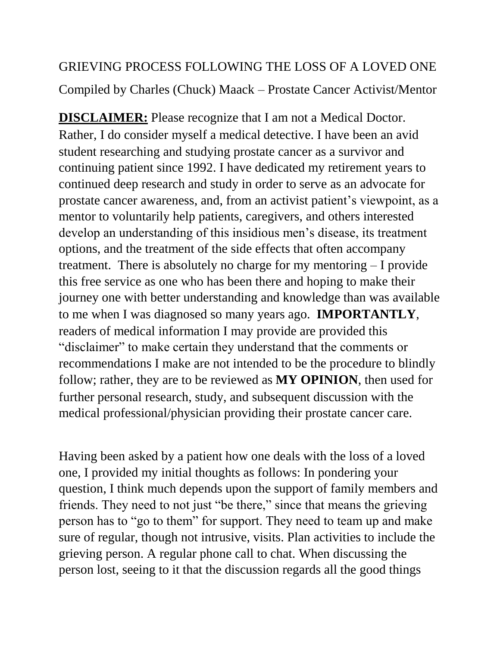## GRIEVING PROCESS FOLLOWING THE LOSS OF A LOVED ONE Compiled by Charles (Chuck) Maack – Prostate Cancer Activist/Mentor

**DISCLAIMER:** Please recognize that I am not a Medical Doctor. Rather, I do consider myself a medical detective. I have been an avid student researching and studying prostate cancer as a survivor and continuing patient since 1992. I have dedicated my retirement years to continued deep research and study in order to serve as an advocate for prostate cancer awareness, and, from an activist patient's viewpoint, as a mentor to voluntarily help patients, caregivers, and others interested develop an understanding of this insidious men's disease, its treatment options, and the treatment of the side effects that often accompany treatment. There is absolutely no charge for my mentoring – I provide this free service as one who has been there and hoping to make their journey one with better understanding and knowledge than was available to me when I was diagnosed so many years ago. **IMPORTANTLY**, readers of medical information I may provide are provided this "disclaimer" to make certain they understand that the comments or recommendations I make are not intended to be the procedure to blindly follow; rather, they are to be reviewed as **MY OPINION**, then used for further personal research, study, and subsequent discussion with the medical professional/physician providing their prostate cancer care.

Having been asked by a patient how one deals with the loss of a loved one, I provided my initial thoughts as follows: In pondering your question, I think much depends upon the support of family members and friends. They need to not just "be there," since that means the grieving person has to "go to them" for support. They need to team up and make sure of regular, though not intrusive, visits. Plan activities to include the grieving person. A regular phone call to chat. When discussing the person lost, seeing to it that the discussion regards all the good things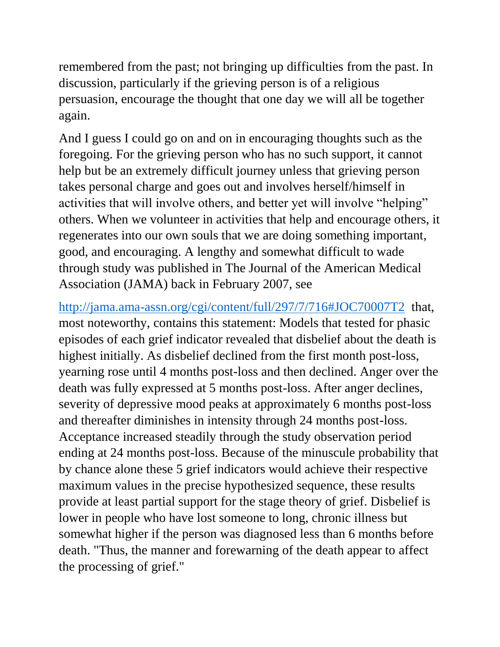remembered from the past; not bringing up difficulties from the past. In discussion, particularly if the grieving person is of a religious persuasion, encourage the thought that one day we will all be together again.

And I guess I could go on and on in encouraging thoughts such as the foregoing. For the grieving person who has no such support, it cannot help but be an extremely difficult journey unless that grieving person takes personal charge and goes out and involves herself/himself in activities that will involve others, and better yet will involve "helping" others. When we volunteer in activities that help and encourage others, it regenerates into our own souls that we are doing something important, good, and encouraging. A lengthy and somewhat difficult to wade through study was published in The Journal of the American Medical Association (JAMA) back in February 2007, see

<http://jama.ama-assn.org/cgi/content/full/297/7/716#JOC70007T2>that, most noteworthy, contains this statement: Models that tested for phasic episodes of each grief indicator revealed that disbelief about the death is highest initially. As disbelief declined from the first month post-loss, yearning rose until 4 months post-loss and then declined. Anger over the death was fully expressed at 5 months post-loss. After anger declines, severity of depressive mood peaks at approximately 6 months post-loss and thereafter diminishes in intensity through 24 months post-loss. Acceptance increased steadily through the study observation period ending at 24 months post-loss. Because of the minuscule probability that by chance alone these 5 grief indicators would achieve their respective maximum values in the precise hypothesized sequence, these results provide at least partial support for the stage theory of grief. Disbelief is lower in people who have lost someone to long, chronic illness but somewhat higher if the person was diagnosed less than 6 months before death. "Thus, the manner and forewarning of the death appear to affect the processing of grief."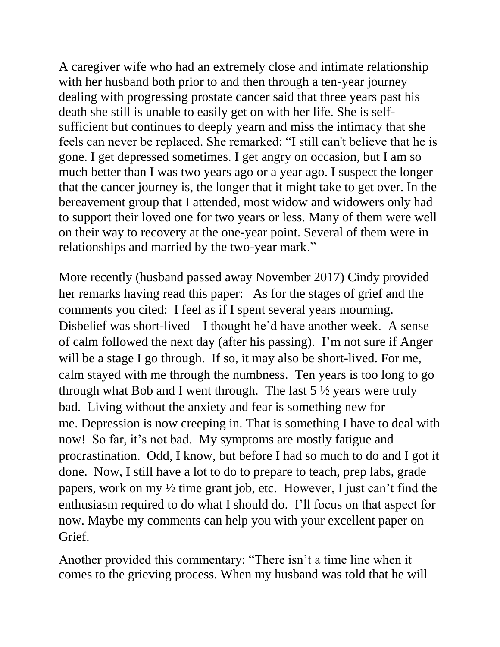A caregiver wife who had an extremely close and intimate relationship with her husband both prior to and then through a ten-year journey dealing with progressing prostate cancer said that three years past his death she still is unable to easily get on with her life. She is selfsufficient but continues to deeply yearn and miss the intimacy that she feels can never be replaced. She remarked: "I still can't believe that he is gone. I get depressed sometimes. I get angry on occasion, but I am so much better than I was two years ago or a year ago. I suspect the longer that the cancer journey is, the longer that it might take to get over. In the bereavement group that I attended, most widow and widowers only had to support their loved one for two years or less. Many of them were well on their way to recovery at the one-year point. Several of them were in relationships and married by the two-year mark."

More recently (husband passed away November 2017) Cindy provided her remarks having read this paper: As for the stages of grief and the comments you cited: I feel as if I spent several years mourning. Disbelief was short-lived – I thought he'd have another week. A sense of calm followed the next day (after his passing). I'm not sure if Anger will be a stage I go through. If so, it may also be short-lived. For me, calm stayed with me through the numbness. Ten years is too long to go through what Bob and I went through. The last  $5\frac{1}{2}$  years were truly bad. Living without the anxiety and fear is something new for me. Depression is now creeping in. That is something I have to deal with now! So far, it's not bad. My symptoms are mostly fatigue and procrastination. Odd, I know, but before I had so much to do and I got it done. Now, I still have a lot to do to prepare to teach, prep labs, grade papers, work on my ½ time grant job, etc. However, I just can't find the enthusiasm required to do what I should do. I'll focus on that aspect for now. Maybe my comments can help you with your excellent paper on Grief.

Another provided this commentary: "There isn't a time line when it comes to the grieving process. When my husband was told that he will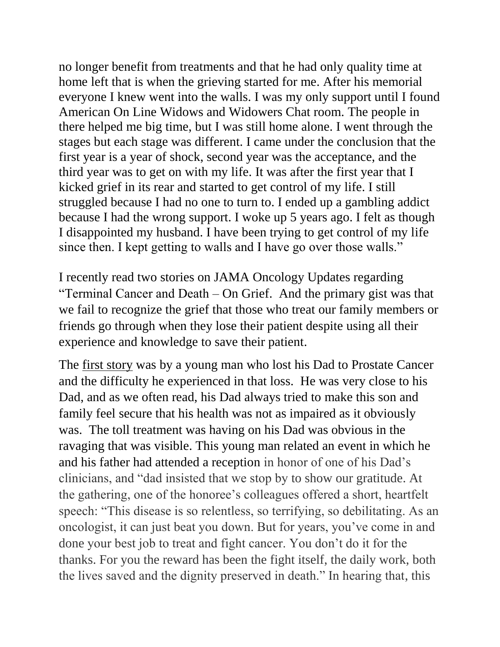no longer benefit from treatments and that he had only quality time at home left that is when the grieving started for me. After his memorial everyone I knew went into the walls. I was my only support until I found American On Line Widows and Widowers Chat room. The people in there helped me big time, but I was still home alone. I went through the stages but each stage was different. I came under the conclusion that the first year is a year of shock, second year was the acceptance, and the third year was to get on with my life. It was after the first year that I kicked grief in its rear and started to get control of my life. I still struggled because I had no one to turn to. I ended up a gambling addict because I had the wrong support. I woke up 5 years ago. I felt as though I disappointed my husband. I have been trying to get control of my life since then. I kept getting to walls and I have go over those walls."

I recently read two stories on JAMA Oncology Updates regarding "Terminal Cancer and Death – On Grief. And the primary gist was that we fail to recognize the grief that those who treat our family members or friends go through when they lose their patient despite using all their experience and knowledge to save their patient.

The first story [was by a young man who lost his Dad to Prostate Cancer](http://click.alerts.jamanetwork.com/click/axac-srkfq-g6xqb7-a096bvz9/)  [and the difficulty he experienced in that loss.](http://click.alerts.jamanetwork.com/click/axac-srkfq-g6xqb7-a096bvz9/) He was very close to his [Dad, and as we often read, his Dad always tried to make this son and](http://click.alerts.jamanetwork.com/click/axac-srkfq-g6xqb7-a096bvz9/)  [family feel secure that his health was not as impaired as it obviously](http://click.alerts.jamanetwork.com/click/axac-srkfq-g6xqb7-a096bvz9/)  was. [The toll treatment was having on his Dad was obvious in the](http://click.alerts.jamanetwork.com/click/axac-srkfq-g6xqb7-a096bvz9/)  [ravaging that was visible. This young man related an event in which he](http://click.alerts.jamanetwork.com/click/axac-srkfq-g6xqb7-a096bvz9/)  [and his father had attended a reception](http://click.alerts.jamanetwork.com/click/axac-srkfq-g6xqb7-a096bvz9/) in honor of one of his Dad's clinicians, and "dad insisted that we stop by to show our gratitude. At the gathering, one of the honoree's colleagues offered a short, heartfelt speech: "This disease is so relentless, so terrifying, so debilitating. As an oncologist, it can just beat you down. But for years, you've come in and done your best job to treat and fight cancer. You don't do it for the thanks. For you the reward has been the fight itself, the daily work, both the lives saved and the dignity preserved in death." In hearing that, this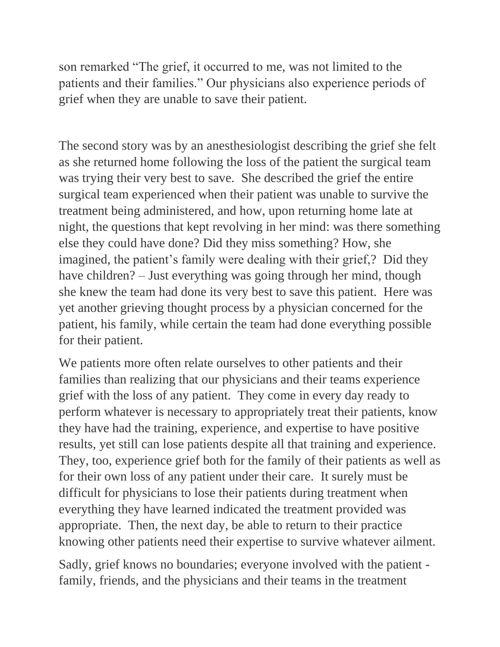son remarked "The grief, it occurred to me, was not limited to the patients and their families." Our physicians also experience periods of grief when they are unable to save their patient.

The second story was by an anesthesiologist describing the grief she felt as she returned home following the loss of the patient the surgical team was trying their very best to save. She described the grief the entire surgical team experienced when their patient was unable to survive the treatment being administered, and how, upon returning home late at night, the questions that kept revolving in her mind: was there something else they could have done? Did they miss something? How, she imagined, the patient's family were dealing with their grief,? Did they have children? – Just everything was going through her mind, though she knew the team had done its very best to save this patient. Here was yet another grieving thought process by a physician concerned for the patient, his family, while certain the team had done everything possible for their patient.

We patients more often relate ourselves to other patients and their families than realizing that our physicians and their teams experience grief with the loss of any patient. They come in every day ready to perform whatever is necessary to appropriately treat their patients, know they have had the training, experience, and expertise to have positive results, yet still can lose patients despite all that training and experience. They, too, experience grief both for the family of their patients as well as for their own loss of any patient under their care. It surely must be difficult for physicians to lose their patients during treatment when everything they have learned indicated the treatment provided was appropriate. Then, the next day, be able to return to their practice knowing other patients need their expertise to survive whatever ailment.

Sadly, grief knows no boundaries; everyone involved with the patient family, friends, and the physicians and their teams in the treatment